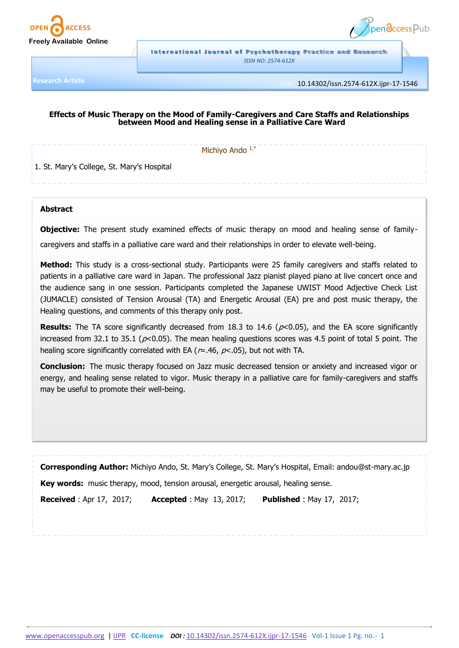



**International Journal of Psychotherapy Practice and Research** *ISSN NO: 2574-612X*

**Research Article**

**DOI :** 10.14302/issn.2574-612X.ijpr-17-1546

# **Effects of Music Therapy on the Mood of Family-Caregivers and Care Staffs and Relationships between Mood and Healing sense in a Palliative Care Ward**

Michiyo Ando 1,\*

1. St. Mary's College, St. Mary's Hospital

## **Abstract**

**Objective:** The present study examined effects of music therapy on mood and healing sense of familycaregivers and staffs in a palliative care ward and their relationships in order to elevate well-being.

**Method:** This study is a cross-sectional study. Participants were 25 family caregivers and staffs related to patients in a palliative care ward in Japan. The professional Jazz pianist played piano at live concert once and the audience sang in one session. Participants completed the Japanese UWIST Mood Adjective Check List (JUMACLE) consisted of Tension Arousal (TA) and Energetic Arousal (EA) pre and post music therapy, the Healing questions, and comments of this therapy only post.

**Results:** The TA score significantly decreased from 18.3 to 14.6 ( $p$ <0.05), and the EA score significantly increased from 32.1 to 35.1 ( $p<0.05$ ). The mean healing questions scores was 4.5 point of total 5 point. The healing score significantly correlated with EA ( $r=.46$ ,  $p<.05$ ), but not with TA.

**Conclusion:** The music therapy focused on Jazz music decreased tension or anxiety and increased vigor or energy, and healing sense related to vigor. Music therapy in a palliative care for family-caregivers and staffs may be useful to promote their well-being.

**Corresponding Author:** Michiyo Ando, St. Mary's College, St. Mary's Hospital, Email: andou@st-mary.ac.jp

**Key words:** music therapy, mood, tension arousal, energetic arousal, healing sense.

**Received** : Apr 17, 2017; **Accepted** : May 13, 2017; **Published** : May 17, 2017;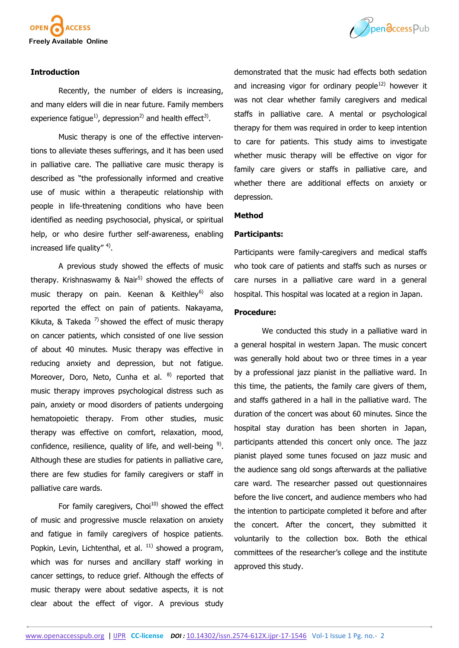



# **Introduction**

Recently, the number of elders is increasing, and many elders will die in near future. Family members experience fatigue<sup>1)</sup>, depression<sup>2)</sup> and health effect<sup>3)</sup>.

Music therapy is one of the effective interventions to alleviate theses sufferings, and it has been used in palliative care. The palliative care music therapy is described as "the professionally informed and creative use of music within a therapeutic relationship with people in life-threatening conditions who have been identified as needing psychosocial, physical, or spiritual help, or who desire further self-awareness, enabling increased life quality" <sup>4)</sup>.

A previous study showed the effects of music therapy. Krishnaswamy & Nair<sup>5)</sup> showed the effects of music therapy on pain. Keenan  $\&$  Keithley<sup>6)</sup> also reported the effect on pain of patients. Nakayama, Kikuta, & Takeda<sup>7</sup> showed the effect of music therapy on cancer patients, which consisted of one live session of about 40 minutes. Music therapy was effective in reducing anxiety and depression, but not fatigue. Moreover, Doro, Neto, Cunha et al. 8) reported that music therapy improves psychological distress such as pain, anxiety or mood disorders of patients undergoing hematopoietic therapy. From other studies, music therapy was effective on comfort, relaxation, mood, confidence, resilience, quality of life, and well-being  $9$ . Although these are studies for patients in palliative care, there are few studies for family caregivers or staff in palliative care wards.

For family caregivers,  $Choi<sup>10</sup>$  showed the effect of music and progressive muscle relaxation on anxiety and fatigue in family caregivers of hospice patients. Popkin, Levin, Lichtenthal, et al.  $11$ ) showed a program, which was for nurses and ancillary staff working in cancer settings, to reduce grief. Although the effects of music therapy were about sedative aspects, it is not clear about the effect of vigor. A previous study

demonstrated that the music had effects both sedation and increasing vigor for ordinary people<sup>12)</sup> however it was not clear whether family caregivers and medical staffs in palliative care. A mental or psychological therapy for them was required in order to keep intention to care for patients. This study aims to investigate whether music therapy will be effective on vigor for family care givers or staffs in palliative care, and whether there are additional effects on anxiety or depression.

#### **Method**

# **Participants:**

Participants were family-caregivers and medical staffs who took care of patients and staffs such as nurses or care nurses in a palliative care ward in a general hospital. This hospital was located at a region in Japan.

# **Procedure:**

We conducted this study in a palliative ward in a general hospital in western Japan. The music concert was generally hold about two or three times in a year by a professional jazz pianist in the palliative ward. In this time, the patients, the family care givers of them, and staffs gathered in a hall in the palliative ward. The duration of the concert was about 60 minutes. Since the hospital stay duration has been shorten in Japan, participants attended this concert only once. The jazz pianist played some tunes focused on jazz music and the audience sang old songs afterwards at the palliative care ward. The researcher passed out questionnaires before the live concert, and audience members who had the intention to participate completed it before and after the concert. After the concert, they submitted it voluntarily to the collection box. Both the ethical committees of the researcher's college and the institute approved this study.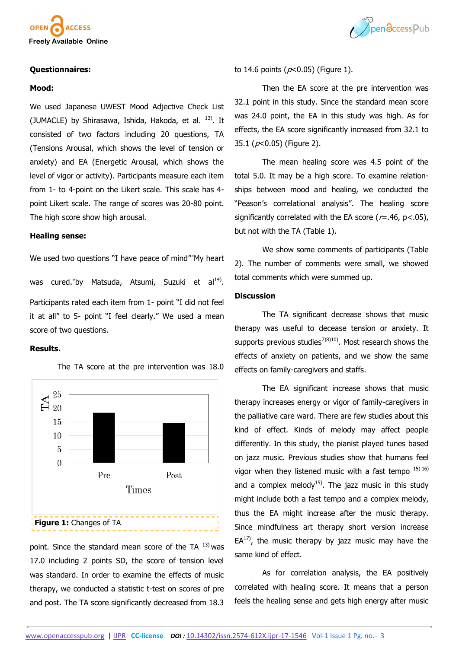



#### **Questionnaires:**

#### **Mood:**

We used Japanese UWEST Mood Adjective Check List (JUMACLE) by Shirasawa, Ishida, Hakoda, et al.  $^{13}$ ). It consisted of two factors including 20 questions, TA (Tensions Arousal, which shows the level of tension or anxiety) and EA (Energetic Arousal, which shows the level of vigor or activity). Participants measure each item from 1- to 4-point on the Likert scale. This scale has 4 point Likert scale. The range of scores was 20-80 point. The high score show high arousal.

## **Healing sense:**

We used two questions "I have peace of mind""My heart

was cured."by Matsuda, Atsumi, Suzuki et al<sup>14)</sup>. Participants rated each item from 1- point "I did not feel it at all" to 5- point "I feel clearly." We used a mean score of two questions.

# **Results.**



The TA score at the pre intervention was 18.0

point. Since the standard mean score of the TA  $^{13)}$  was 17.0 including 2 points SD, the score of tension level was standard. In order to examine the effects of music therapy, we conducted a statistic t-test on scores of pre and post. The TA score significantly decreased from 18.3

to 14.6 points ( $p<0.05$ ) (Figure 1).

Then the EA score at the pre intervention was 32.1 point in this study. Since the standard mean score was 24.0 point, the EA in this study was high. As for effects, the EA score significantly increased from 32.1 to 35.1 ( $p$ <0.05) (Figure 2).

The mean healing score was 4.5 point of the total 5.0. It may be a high score. To examine relationships between mood and healing, we conducted the "Peason's correlational analysis". The healing score significantly correlated with the EA score ( $r=.46$ ,  $p<.05$ ), but not with the TA (Table 1).

We show some comments of participants (Table 2). The number of comments were small, we showed total comments which were summed up.

#### **Discussion**

The TA significant decrease shows that music therapy was useful to decease tension or anxiety. It supports previous studies<sup>7)8)10</sup>). Most research shows the effects of anxiety on patients, and we show the same effects on family-caregivers and staffs.

The EA significant increase shows that music therapy increases energy or vigor of family-caregivers in the palliative care ward. There are few studies about this kind of effect. Kinds of melody may affect people differently. In this study, the pianist played tunes based on jazz music. Previous studies show that humans feel vigor when they listened music with a fast tempo  $15(16)$ and a complex melody<sup>15)</sup>. The jazz music in this study might include both a fast tempo and a complex melody, thus the EA might increase after the music therapy. Since mindfulness art therapy short version increase  $EA^{17}$ , the music therapy by jazz music may have the same kind of effect.

As for correlation analysis, the EA positively correlated with healing score. It means that a person feels the healing sense and gets high energy after music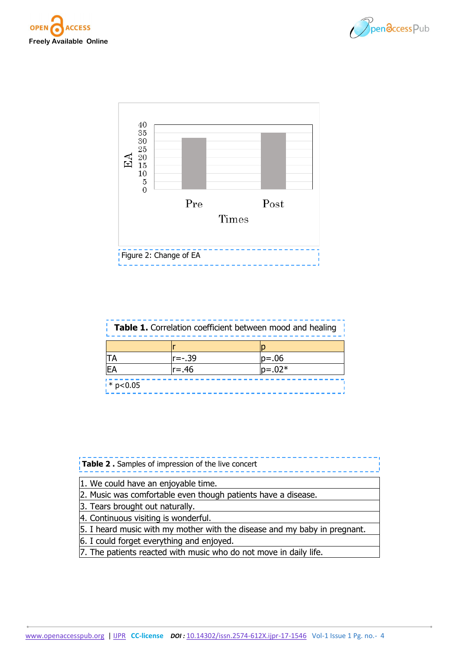





| <b>Table 1.</b> Correlation coefficient between mood and healing |  |  |  |
|------------------------------------------------------------------|--|--|--|
|                                                                  |  |  |  |

| TA                     | r=-.39   | $ p=.06$   |
|------------------------|----------|------------|
| ΙEΑ                    | $r = 46$ | $ p=0.02*$ |
|                        |          |            |
| $\frac{1}{2}$ * p<0.05 |          |            |

| Table 2. Samples of impression of the live concert                        |  |  |
|---------------------------------------------------------------------------|--|--|
| 1. We could have an enjoyable time.                                       |  |  |
| 2. Music was comfortable even though patients have a disease.             |  |  |
| 3. Tears brought out naturally.                                           |  |  |
| 4. Continuous visiting is wonderful.                                      |  |  |
| 5. I heard music with my mother with the disease and my baby in pregnant. |  |  |
| 6. I could forget everything and enjoyed.                                 |  |  |
| 7. The patients reacted with music who do not move in daily life.         |  |  |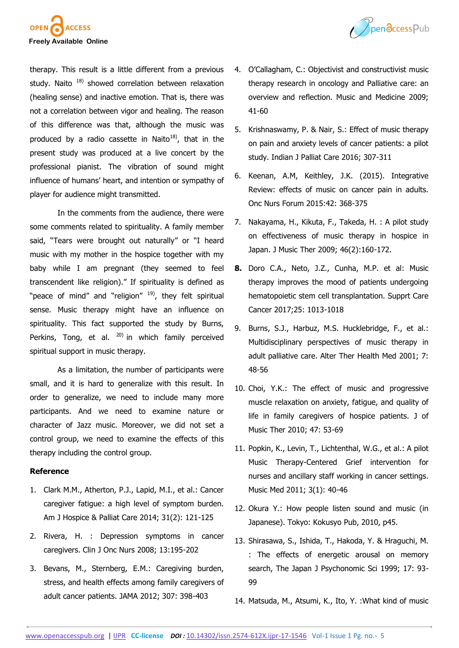



therapy. This result is a little different from a previous study. Naito  $18$ ) showed correlation between relaxation (healing sense) and inactive emotion. That is, there was not a correlation between vigor and healing. The reason of this difference was that, although the music was produced by a radio cassette in Naito<sup>18)</sup>, that in the present study was produced at a live concert by the professional pianist. The vibration of sound might influence of humans' heart, and intention or sympathy of player for audience might transmitted.

In the comments from the audience, there were some comments related to spirituality. A family member said, "Tears were brought out naturally" or "I heard music with my mother in the hospice together with my baby while I am pregnant (they seemed to feel transcendent like religion)." If spirituality is defined as "peace of mind" and "religion" 19), they felt spiritual sense. Music therapy might have an influence on spirituality. This fact supported the study by Burns, Perkins, Tong, et al.  $^{20)}$  in which family perceived spiritual support in music therapy.

As a limitation, the number of participants were small, and it is hard to generalize with this result. In order to generalize, we need to include many more participants. And we need to examine nature or character of Jazz music. Moreover, we did not set a control group, we need to examine the effects of this therapy including the control group.

## **Reference**

- 1. Clark M.M., Atherton, P.J., Lapid, M.I., et al.: Cancer caregiver fatigue: a high level of symptom burden. Am J Hospice & Palliat Care 2014; 31(2): 121-125
- 2. Rivera, H. : Depression symptoms in cancer caregivers. Clin J Onc Nurs 2008; 13:195-202
- 3. Bevans, M., Sternberg, E.M.: Caregiving burden, stress, and health effects among family caregivers of adult cancer patients. JAMA 2012; 307: 398-403
- 4. O'Callagham, C.: Objectivist and constructivist music therapy research in oncology and Palliative care: an overview and reflection. Music and Medicine 2009; 41-60
- 5. Krishnaswamy, P. & Nair, S.: Effect of music therapy on pain and anxiety levels of cancer patients: a pilot study. Indian J Palliat Care 2016; 307-311
- 6. Keenan, A.M, Keithley, J.K. (2015). Integrative Review: effects of music on cancer pain in adults. Onc Nurs Forum 2015:42: 368-375
- 7. Nakayama, H., Kikuta, F., Takeda, H. : A pilot study on effectiveness of music therapy in hospice in Japan. J Music Ther 2009; 46(2):160-172.
- **8.** Doro C.A., Neto, J.Z., Cunha, M.P. et al: Music therapy improves the mood of patients undergoing hematopoietic stem cell transplantation. Supprt Care Cancer 2017;25: 1013-1018
- 9. Burns, S.J., Harbuz, M.S. Hucklebridge, F., et al.: Multidisciplinary perspectives of music therapy in adult palliative care. Alter Ther Health Med 2001; 7: 48-56
- 10. Choi, Y.K.: The effect of music and progressive muscle relaxation on anxiety, fatigue, and quality of life in family caregivers of hospice patients. J of Music Ther 2010; 47: 53-69
- 11. Popkin, K., Levin, T., Lichtenthal, W.G., et al.: A pilot Music Therapy-Centered Grief intervention for nurses and ancillary staff working in cancer settings. Music Med 2011; 3(1): 40-46
- 12. Okura Y.: How people listen sound and music (in Japanese). Tokyo: Kokusyo Pub, 2010, p45.
- 13. Shirasawa, S., Ishida, T., Hakoda, Y. & Hraguchi, M. : The effects of energetic arousal on memory search, The Japan J Psychonomic Sci 1999; 17: 93- 99
- 14. Matsuda, M., Atsumi, K., Ito, Y. :What kind of music